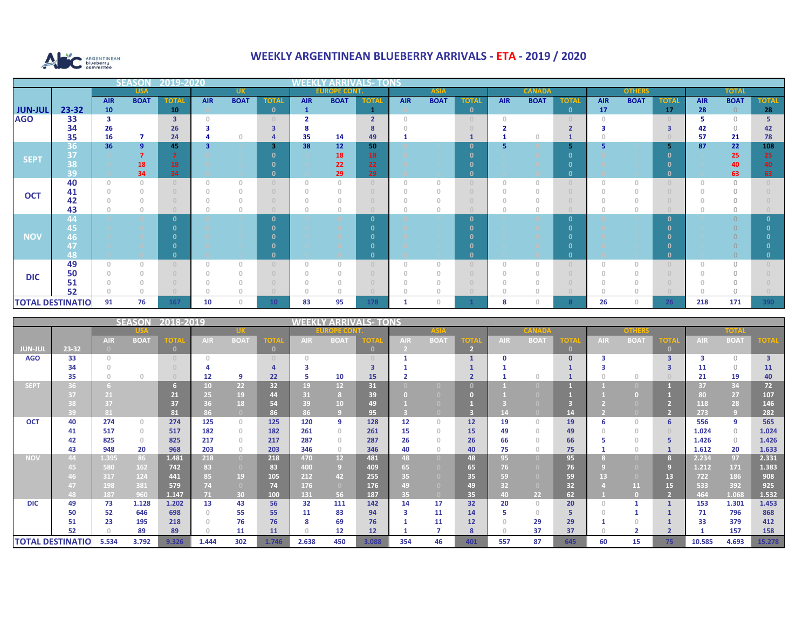

## **WEEKLY ARGENTINEAN BLUEBERRY ARRIVALS - ETA - 2019 / 2020**

|                |                         |            | <b>SEASON</b>  | 2019-2020    |            |             |                 | <u> 4W 1339</u> - |                     |                |             |             |                                  |               |             |              |               |             |              |              |             |              |
|----------------|-------------------------|------------|----------------|--------------|------------|-------------|-----------------|-------------------|---------------------|----------------|-------------|-------------|----------------------------------|---------------|-------------|--------------|---------------|-------------|--------------|--------------|-------------|--------------|
|                |                         |            | <b>USA</b>     |              |            | <b>UK</b>   |                 |                   | <b>EUROPE CONT.</b> |                | <b>ASIA</b> |             |                                  | <b>CANADA</b> |             |              | <b>OTHERS</b> |             |              | <b>TOTAL</b> |             |              |
|                |                         | <b>AIR</b> | <b>BOAT</b>    | <b>TOTAL</b> | <b>AIR</b> | <b>BOAT</b> | <b>TOTA</b>     | <b>AIR</b>        | <b>BOAT</b>         | <b>TOTAL</b>   | <b>AIR</b>  | <b>BOAT</b> | <b>TOTAL</b>                     | <b>AIR</b>    | <b>BOAT</b> | <b>TOTAL</b> | <b>AIR</b>    | <b>BOAT</b> | <b>TOTAL</b> | <b>AIR</b>   | <b>BOAT</b> | <b>TOTAL</b> |
| <b>JUN-JUL</b> | 23-32                   | 10         |                | 10           |            |             | $\mathbf{0}$    | $\mathbf{1}$      |                     |                |             |             | $\mathbf{o}$                     |               |             | $\mathbf{0}$ | 17            |             | <b>17</b>    | 28           |             | 28           |
| <b>AGO</b>     | 33                      |            |                | З            |            |             |                 |                   |                     | $\overline{2}$ |             |             | $\circ$                          | $\cap$        |             |              |               |             |              |              | $\cap$      |              |
|                | 34                      | 26         |                | 26           |            |             |                 |                   |                     |                |             |             |                                  |               |             |              |               |             | з            | 42           |             | 42           |
|                | 35                      | 16         | $\overline{7}$ | 24           |            |             |                 | 35                | 14                  | 49             |             |             |                                  |               |             |              |               |             |              | 57           | 21          | 78           |
| <b>SEPT</b>    | 36                      | 36         | 9              | 45           |            |             | з               | 38                | 12                  | 50             |             |             | $\mathbf{0}$                     | 5             |             |              | 5             |             | 5            | 87           | 22          | 108          |
|                | 37                      |            |                |              |            |             |                 |                   | 18                  | <b>18</b>      |             |             |                                  |               |             |              |               |             |              |              | 25          | 25           |
|                | 38                      |            | 18             | 18           |            |             |                 |                   | 22                  | 22             |             |             |                                  |               |             |              |               |             |              |              | 40          | 40           |
|                | 39                      |            | 34             | 34           |            |             |                 |                   | 29                  | 29             |             |             | $\mathbf{0}$                     |               |             | n.           |               |             | n            |              | 63          | 63           |
|                | 40                      | $\cap$     | $\cap$         |              |            | $\cap$      |                 | $\cap$            | $\cap$              |                | $\cap$      | $\cap$      | $\begin{array}{c} 0 \end{array}$ | $\Box$        |             |              |               | $\Omega$    |              |              | $\cap$      |              |
| <b>OCT</b>     | 41                      |            |                |              |            |             |                 |                   |                     |                |             |             | $\circ$                          |               |             |              |               |             |              |              |             |              |
|                | 42                      |            |                |              |            |             |                 |                   |                     |                |             |             | $\bigcap$                        |               |             |              |               |             |              |              |             |              |
|                | 43<br>44                |            |                |              |            |             |                 |                   |                     |                |             |             | $\circ$                          |               |             | n.           |               | $\Omega$    | n            |              |             |              |
|                | 45,                     |            |                |              |            |             |                 |                   |                     |                |             |             | $\mathbf{0}$                     |               |             |              |               |             |              |              |             |              |
| <b>NOV</b>     | 46,                     |            |                |              |            |             |                 |                   |                     |                |             |             |                                  |               |             |              |               |             |              |              |             |              |
|                | 17                      |            |                |              |            |             |                 |                   |                     |                |             |             |                                  |               |             |              |               |             |              |              |             |              |
|                | 48                      |            |                |              |            |             |                 |                   |                     |                |             |             | $\mathbf{0}$                     |               |             | n            |               |             |              |              |             |              |
|                | 49                      |            | $\cap$         |              |            | $\cup$      |                 | $\cap$            | $\cap$              |                | $\cap$      | $\cap$      | $\cup$                           |               | $\cap$      |              |               | $\Box$      |              |              |             |              |
|                | 50                      |            |                |              |            |             |                 |                   |                     |                |             |             | $\cup$                           |               |             |              |               |             |              |              |             |              |
| <b>DIC</b>     | 51                      |            |                |              |            |             |                 |                   |                     |                |             |             | $\cap$                           |               |             |              |               |             |              |              |             |              |
|                | 52                      |            |                |              |            |             |                 |                   |                     |                |             |             |                                  |               |             |              |               |             |              |              |             |              |
|                | <b>TOTAL DESTINATIO</b> | 91         | 76             | 167          | 10         | n           | 10 <sup>1</sup> | 83                | 95                  | 178            |             |             |                                  | 8             |             |              | 26            | $\cap$      | 26           | 218          | 171         | 390          |

|                |                         |            | <b>SEASON</b>                         | 2018-2019    |       |                |              | WEEKLY     |                 | <b>ARRIVALS-TONS</b> |     |                                  |                |              |                                            |              |       |                                       |          |        |             |        |
|----------------|-------------------------|------------|---------------------------------------|--------------|-------|----------------|--------------|------------|-----------------|----------------------|-----|----------------------------------|----------------|--------------|--------------------------------------------|--------------|-------|---------------------------------------|----------|--------|-------------|--------|
|                |                         | US/        |                                       |              |       |                |              | ROPECO)    |                 |                      |     |                                  |                | <b>CANAD</b> |                                            |              | onher |                                       |          | TOTAL  |             |        |
|                |                         | <b>AIR</b> | <b>BOAT</b>                           | <b>TOTAL</b> | AIR.  | <b>BOAT</b>    | ЮT           | <b>AIR</b> | <b>BOAT</b>     |                      | AIR | <b>BOAT</b>                      | <b>TOTA</b>    | <b>AIR</b>   | <b>BOAT</b>                                | <b>TOTA</b>  | AIR.  | <b>BOAT</b>                           | ют       | AIR    | <b>BOAT</b> | OTAL   |
| <b>JUN-JUL</b> | 23-32                   |            |                                       | -0           |       |                | $\mathbf{0}$ |            |                 |                      |     |                                  | $\overline{2}$ |              |                                            | $\mathbf{0}$ |       |                                       | $\bf{0}$ |        |             |        |
| <b>AGO</b>     | 33                      | $\cap$     |                                       |              |       |                |              |            |                 |                      |     |                                  |                |              |                                            |              |       |                                       |          |        | $\cap$      |        |
|                | 34                      |            |                                       |              |       |                |              |            |                 |                      |     |                                  |                |              |                                            |              |       |                                       |          | 11     | $\bigcap$   | 11     |
|                | 35                      |            | $\circ$                               |              | 12    | 9              | 22           |            | 10              | 15                   |     |                                  |                |              |                                            |              |       | $\Omega$                              |          | 21     | 19          | 40     |
| <b>SEPT</b>    |                         |            |                                       |              | 10.   | 22             | 32           | 19         | 12              | 31                   |     |                                  | $\Omega$       |              |                                            |              |       |                                       |          | 37     | 34          | 72     |
|                |                         | 21         |                                       | 21           | 25.   | 19             | 44           | 31         |                 | 39                   |     |                                  |                |              |                                            |              |       |                                       |          | 80     | 27          | 107    |
|                |                         | 37         |                                       | 37           | 36    | 18             | 54           | 39         | 10              | 49                   |     |                                  |                |              |                                            |              |       |                                       |          | 118    | 28          | 146    |
|                | 39                      | 81         |                                       | 81           | 86    |                | 86           | 86         |                 | 95                   |     |                                  |                |              |                                            | 14           |       |                                       |          | 273    | -9          | 282    |
| <b>OCT</b>     | 40                      | 274        | $\begin{array}{c} 0 \\ 0 \end{array}$ | 274          | 125   | $\Omega$       | 125          | 120        | 9               | 128                  | 12  | $\begin{array}{c} \n\end{array}$ | 12             | 19           | $\cap$                                     | 19           | 6     | $\begin{array}{c} 0 \\ 0 \end{array}$ | 6        | 556    | 9           | 565    |
|                | 41                      | 517        | $\begin{array}{c} 0 \\ 0 \end{array}$ | 517          | 182   | $\Omega$       | 182          | 261        | $\Omega$        | 261                  | 15  | $\begin{array}{c} \n\end{array}$ | 15             | 49           | $\Omega$                                   | 49           |       | $\circ$                               |          | 1.024  | $\bigcirc$  | 1.024  |
|                | 42                      | 825        | $\circ$                               | 825          | 217   | $\Omega$       | 217          | 287        | $\cap$          | 287                  | 26  |                                  | 26             | 66           |                                            | 66           |       |                                       | 5        | 1.426  | $\bigcap$   | 1.426  |
|                | 43                      | 948        | 20                                    | 968          | 203   | $\circ$        | 203          | 346        | $\Omega$        | 346                  | 40  | $\Omega$                         | 40             | 75           | $\Omega$                                   | 75           |       | $\begin{array}{c} 0 \\ 0 \end{array}$ |          | 1.612  | 20          | 1.633  |
| <b>NOV</b>     | 44.                     | 1.395      | 86                                    | 1.481        | 218   | $\Omega$       | 218          | 470        | 12 <sup>2</sup> | 481                  | 48  |                                  | 48             | 95           |                                            | 95           |       | o                                     |          | 2.234  | 97          | 2.331  |
|                |                         | 580        | 162                                   | 742          | 83    |                | 83           | 400        | -9              | 409                  | 65  |                                  | 65             | 76           |                                            | 76           |       |                                       | q        | 1.212  | 171         | 1.383  |
|                |                         | 317        | 124                                   | 441          | 85.   | 19             | 105          | 212        | 42              | 255                  | 35  |                                  | 35             | 59           |                                            | 59           | 13    | $\Box$                                | 13       | 722    | 186         | 908    |
|                |                         | 198        | 381                                   | 579          |       | $\overline{0}$ | 74           | 176        | $\Box$          | 176                  | 49  |                                  | 49             | 32           |                                            | 32           |       | 11                                    | 15       | 533    | 392         | 925    |
|                |                         | 187        | 960                                   | 1.147        | 71.   | 30             | 100          | 131        | 56              | 187                  | 35  |                                  | 35             | 40.          | 22                                         | 62           |       | О                                     |          | 464    | 1.068       | 1.532  |
| <b>DIC</b>     | 49                      | 73         | 1.128                                 | 1.202        | 13    | 43             | 56           | 32         | 111             | 142                  | 14  | 17                               | 32             | 20           | $\begin{array}{c} \n\end{array}$<br>$\cap$ | 20           |       |                                       |          | 153    | 1.301       | 1.453  |
|                | 50                      | 52         | 646                                   | 698          |       | 55             | 55           | 11         | 83              | 94                   |     | 11                               | 14             |              |                                            |              |       |                                       |          | 71     | 796         | 868    |
|                | 51                      | 23         | 195                                   | 218          |       | 76             | 76           | 8          | 69              | 76                   |     | 11                               | 12<br>8        |              | 29<br>37                                   | 29<br>37     |       |                                       |          | 33     | 379         | 412    |
|                | 52                      |            | 89                                    | 89           |       | 11             | 11           |            | 12              | 12 <sup>2</sup>      |     |                                  |                |              |                                            |              |       |                                       |          |        | 157         | 158    |
|                | <b>TOTAL DESTINATIO</b> | 5.534      | 3.792                                 | 9.326        | 1.444 | 302            | 1.746        | 2.638      | 450             | 3.088                | 354 | 46                               | 401            | 557          | 87                                         | 645          | 60    | 15                                    | 75       | 10.585 | 4.693       | 15.278 |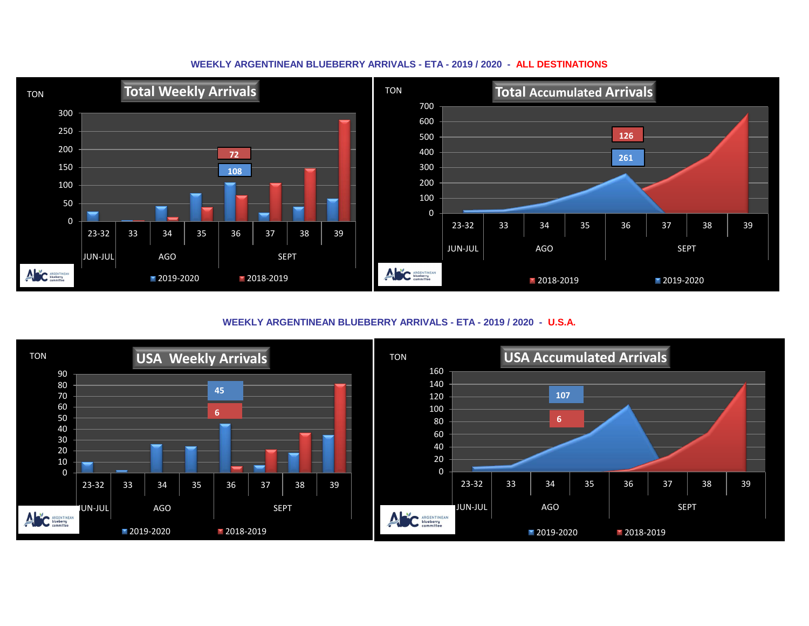

## **WEEKLY ARGENTINEAN BLUEBERRY ARRIVALS - ETA - 2019 / 2020 - ALL DESTINATIONS**

**WEEKLY ARGENTINEAN BLUEBERRY ARRIVALS - ETA - 2019 / 2020 - U.S.A.**

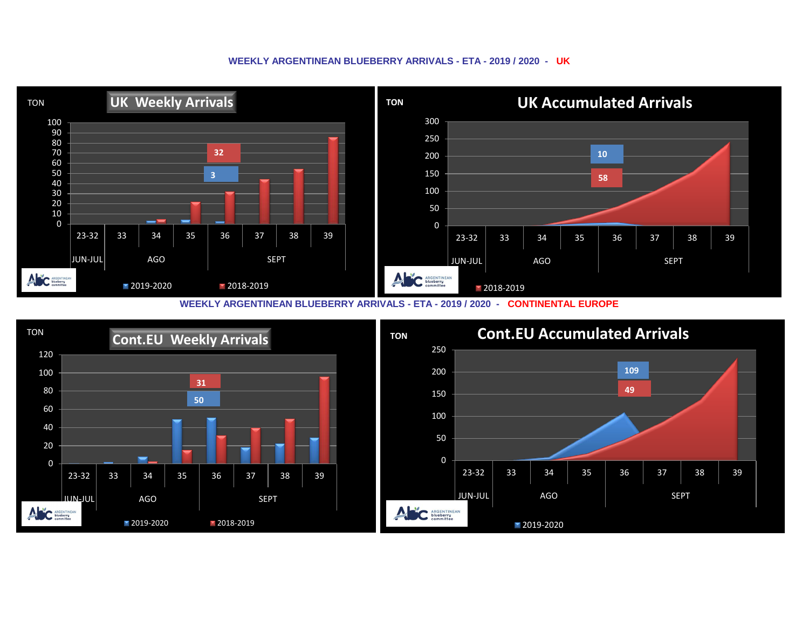## **WEEKLY ARGENTINEAN BLUEBERRY ARRIVALS - ETA - 2019 / 2020 - UK**



**WEEKLY ARGENTINEAN BLUEBERRY ARRIVALS - ETA - 2019 / 2020 - CONTINENTAL EUROPE**

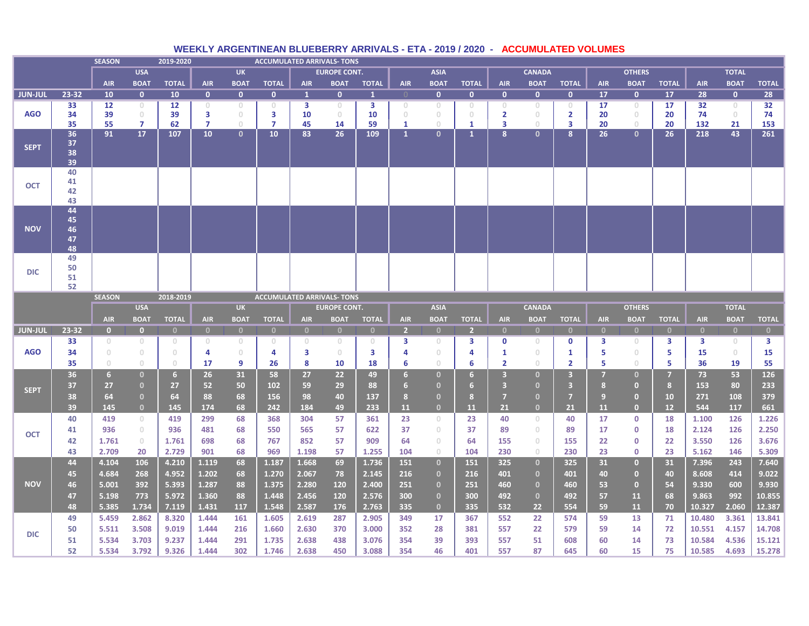|                |                            | <b>SEASON</b>                         |                                       | 2019-2020      |                                   |                                       | <b>ACCUMULATED ARRIVALS- TONS</b> |                |                     |                         |                   |                                       |                   |                |                                       |                |                |                         |              |                  |                |                  |  |
|----------------|----------------------------|---------------------------------------|---------------------------------------|----------------|-----------------------------------|---------------------------------------|-----------------------------------|----------------|---------------------|-------------------------|-------------------|---------------------------------------|-------------------|----------------|---------------------------------------|----------------|----------------|-------------------------|--------------|------------------|----------------|------------------|--|
|                |                            |                                       | <b>USA</b>                            |                |                                   | <b>UK</b>                             |                                   |                | <b>EUROPE CONT.</b> |                         |                   | <b>ASIA</b>                           |                   |                | <b>CANADA</b>                         |                |                | <b>OTHERS</b>           |              |                  | <b>TOTAL</b>   |                  |  |
|                |                            | <b>AIR</b>                            | <b>BOAT</b>                           | <b>TOTAL</b>   | <b>AIR</b>                        | <b>BOAT</b>                           | <b>TOTAL</b>                      | <b>AIR</b>     | <b>BOAT</b>         | <b>TOTAL</b>            | <b>AIR</b>        | <b>BOAT</b>                           | <b>TOTAL</b>      | <b>AIR</b>     | <b>BOAT</b>                           | <b>TOTAL</b>   | <b>AIR</b>     | <b>BOAT</b>             | <b>TOTAL</b> | <b>AIR</b>       | <b>BOAT</b>    | <b>TOTAL</b>     |  |
| <b>JUN-JUL</b> | 23-32                      | 10                                    | $\mathbf{0}$                          | 10             | $\mathbf{0}$                      | $\mathbf{0}$                          | $\mathbf{0}$                      | $\mathbf{1}$   | $\mathbf{0}$        | 1                       |                   | $\mathbf{0}$                          | $\mathbf{0}$      | $\mathbf{0}$   | $\mathbf{0}$                          | $\mathbf{0}$   | 17             | $\mathbf{0}$            | 17           | 28               | $\mathbf{0}$   | 28               |  |
|                | 33                         | 12                                    | $\circ$                               | 12             | $\circ$                           | $\circ$                               | $\circ$                           | 3              | $\circ$             | 3                       | $\circ$           | $\circ$                               | $\circ$           | $\circ$        | $\circ$                               | $\circ$        | 17             | $\circ$                 | 17           | 32               | $\circ$        | 32               |  |
| <b>AGO</b>     | 34                         | 39                                    | $\circ$                               | 39             | 3                                 | $\circ$                               | 3                                 | 10             | $\circ$             | 10                      | $\circ$           | $\circ$                               | $\circ$           | $\mathbf{2}$   | $\circ$                               | $\mathbf{2}$   | 20             | $\circ$                 | 20           | 74               | $\circ$        | 74               |  |
|                | 35<br>36                   | 55<br>91                              | $\overline{7}$<br>17                  | 62<br>107      | $\overline{7}$<br>10 <sup>°</sup> | $\circ$<br>$\mathbf{0}$               | 7<br>10                           | 45<br>83       | 14<br>26            | 59<br>109               | 1<br>$\mathbf{1}$ | $\circ$<br>$\mathbf{0}$               | 1<br>$\mathbf{1}$ | 3<br>8         | $\circ$<br>$\mathbf{0}$               | 3<br>8         | 20<br>26       | $\circ$<br>$\mathbf{0}$ | 20<br>26     | 132<br>218       | 21<br>43       | 153<br>261       |  |
| <b>SEPT</b>    | 37<br>38<br>39             |                                       |                                       |                |                                   |                                       |                                   |                |                     |                         |                   |                                       |                   |                |                                       |                |                |                         |              |                  |                |                  |  |
| <b>OCT</b>     | 40<br>41<br>42<br>43       |                                       |                                       |                |                                   |                                       |                                   |                |                     |                         |                   |                                       |                   |                |                                       |                |                |                         |              |                  |                |                  |  |
| <b>NOV</b>     | 44<br>45<br>46<br>47<br>48 |                                       |                                       |                |                                   |                                       |                                   |                |                     |                         |                   |                                       |                   |                |                                       |                |                |                         |              |                  |                |                  |  |
| <b>DIC</b>     | 49<br>50<br>51<br>52       |                                       |                                       |                |                                   |                                       |                                   |                |                     |                         |                   |                                       |                   |                |                                       |                |                |                         |              |                  |                |                  |  |
|                |                            | <b>SEASON</b>                         |                                       | 2018-2019      |                                   |                                       | <b>ACCUMULATED ARRIVALS- TONS</b> |                |                     |                         |                   |                                       |                   |                |                                       |                |                |                         |              |                  |                |                  |  |
|                |                            | <b>USA</b>                            |                                       |                |                                   | <b>UK</b>                             |                                   |                | <b>EUROPE CONT.</b> |                         |                   | <b>ASIA</b>                           |                   |                | <b>CANADA</b>                         |                |                | <b>OTHERS</b>           |              |                  | <b>TOTAL</b>   |                  |  |
|                |                            | <b>AIR</b>                            | <b>BOAT</b>                           | <b>TOTAL</b>   | <b>AIR</b>                        | <b>BOAT</b>                           | <b>TOTAL</b>                      | <b>AIR</b>     | <b>BOAT</b>         | <b>TOTAL</b>            | <b>AIR</b>        | <b>BOAT</b>                           | <b>TOTAL</b>      | <b>AIR</b>     | <b>BOAT</b>                           | <b>TOTAL</b>   | <b>AIR</b>     | <b>BOAT</b>             | <b>TOTAL</b> | <b>AIR</b>       | <b>BOAT</b>    | <b>TOTAL</b>     |  |
| <b>JUN-JUL</b> | 23-32                      | $\overline{0}$                        | $\overline{0}$                        | $\overline{0}$ | $\mathbf{0}$                      | $\bullet$                             | $\mathbf{0}$                      | $\mathbf{0}$   | $\mathbf{0}$        | $\overline{0}$          | $\overline{2}$    | $\mathbf{0}$                          | $\overline{2}$    | $\mathbf{0}$   | $\overline{0}$                        | $\mathbf{0}$   | $\mathbf{0}$   | $\mathbf{0}$            | $\mathbf{0}$ | $\overline{0}$   | $\bullet$      | $\bullet$        |  |
|                | 33                         | $\circ$                               | $\circ$                               | $\circ$        | $\circ$                           | $\overline{0}$                        | $\circ$                           | $\circ$        | $\circ$             | $\circ$                 | 3                 | $\circ$                               | 3                 | $\mathbf 0$    | $\circ$                               | $\mathbf 0$    | З              | $\overline{0}$          | 3            | 3                | $\circ$        | 3                |  |
|                |                            |                                       |                                       |                |                                   |                                       |                                   |                |                     |                         |                   |                                       |                   |                |                                       |                |                |                         |              |                  |                |                  |  |
| <b>AGO</b>     | 34                         | $\begin{array}{c} 0 \\ 0 \end{array}$ | $\begin{array}{c} 0 \\ 0 \end{array}$ | $\circ$        | 4                                 | $\begin{array}{c} 0 \\ 0 \end{array}$ | 4                                 | 3              | $\circ$             | $\overline{\mathbf{3}}$ | 4                 | $\begin{array}{c} 0 \\ 0 \end{array}$ | 4                 | 1              | $\circ$                               | 1              | 5              | $\circ$                 | 5.           | 15               | $\circ$        | 15               |  |
|                | 35                         | $\circ$                               | $\circ$                               | $\circ$        | 17                                | 9                                     | 26                                | 8              | 10                  | 18                      | 6                 | $\circ$                               | 6                 | $\overline{2}$ | $\begin{array}{c} 0 \\ 0 \end{array}$ | $\overline{2}$ | 5              | $\circ$                 | 5.           | 36               | 19             | 55               |  |
|                | 36                         | 6                                     | $\mathbf{0}$                          | 6              | 26                                | 31                                    | 58                                | 27             | 22                  | 49                      | 6 <sup>1</sup>    | $\mathbf{0}$                          | 6                 | 3              | $\mathbf{0}$                          | 3              | 7              | $\mathbf{0}$            | 7            | 73               | 53             | 126              |  |
| <b>SEPT</b>    | 37                         | 27                                    | $\mathbf{0}$                          | 27             | 52                                | 50                                    | 102                               | 59             | 29                  | 88                      | 6 <sup>1</sup>    | $\mathbf{0}$                          | 6                 | 3              | $\mathbf{0}$                          | 3              | 8              | $\mathbf{0}$            | 8            | 153              | 80             | 233              |  |
|                | 38                         | 64                                    | $\mathbf{0}$                          | 64             | 88                                | 68                                    | 156                               | 98             | 40                  | 137                     | 8                 | $\mathbf{0}$                          | 8                 | $\overline{7}$ | $\mathbf{0}$                          | $\overline{7}$ | $\overline{9}$ | $\mathbf{0}$            | 10           | 271              | 108            | 379              |  |
|                | 39                         | 145                                   | $\mathbf{0}$                          | 145            | 174                               | 68                                    | 242                               | 184            | 49                  | 233                     | 11                | $\mathbf{0}$                          | 11                | 21             | $\mathbf{0}$                          | 21             | 11             | $\mathbf{0}$            | 12           | 544              | 117            | 661              |  |
|                | 40                         | 419                                   | $\circ$                               | 419            | 299                               | 68                                    | 368                               | 304            | 57                  | 361                     | 23                | $\circ$                               | 23                | 40             | $\circ$                               | 40             | 17             | $\mathbf{0}$            | 18           | 1.100            | 126            | 1.226            |  |
| <b>OCT</b>     | 41                         | 936                                   | $\begin{array}{c} \n\end{array}$      | 936            | 481                               | 68                                    | 550                               | 565            | 57                  | 622                     | 37                | $\circledcirc$                        | 37                | 89             | $\circledcirc$                        | 89             | 17             | $\mathbf 0$             | 18           | 2.124            | 126            | 2.250            |  |
|                | 42                         | 1.761                                 | $\circ$                               | 1.761          | 698                               | 68                                    | 767                               | 852            | 57                  | 909                     | 64                | $\circledcirc$                        | 64                | 155            | $\circ$                               | 155            | 22             | 0                       | 22           | 3.550            | 126            | 3.676            |  |
|                | 43                         | 2.709                                 | 20                                    | 2.729          | 901                               | 68                                    | 969                               | 1.198          | 57                  | 1.255                   | 104               | $\begin{array}{c} 0 \\ 0 \end{array}$ | 104               | 230            | $\circ$                               | 230            | 23             | $\mathbf{0}$            | 23           | 5.162            | 146            | 5.309            |  |
|                | 44                         | 4.104                                 | 106                                   | 4.210          | 1.119                             | 68                                    | 1.187                             | 1.668          | 69                  | 1.736                   | 151               | $\mathbf{0}$                          | 151               | 325            | $\mathbf{0}$                          | 325            | 31             | $\mathbf{0}$            | 31           | 7.396            | 243            | 7.640            |  |
|                | 45                         | 4.684                                 | 268                                   | 4.952          | 1.202                             | 68                                    | 1.270                             | 2.067          | 78                  | 2.145                   | 216               | $\mathbf{0}$                          | 216               | 401            | $\mathbf{0}$                          | 401            | 40             | $\mathbf{0}$            | 40           | 8.608            | 414            | 9.022            |  |
| <b>NOV</b>     | 46                         | 5.001                                 | 392                                   | 5.393          | 1.287                             | 88                                    | 1.375                             | 2.280          | 120                 | 2.400                   | 251               | $\mathbf{0}$                          | 251               | 460            | $\mathbf{0}$                          | 460            | 53             | $\mathbf{0}$            | 54           | 9.330            | 600            | 9.930            |  |
|                | 47                         | 5.198                                 | 773                                   | 5.972          | 1.360                             | 88                                    | 1.448                             | 2.456          | 120                 | 2.576                   | 300               | $\mathbf{0}$                          | 300               | 492            | $\mathbf{0}$                          | 492            | 57             | 11                      | 68           | 9.863            | 992            | 10.855           |  |
|                | 48                         | 5.385                                 | 1.734                                 | 7.119          | 1.431                             | 117                                   | 1.548                             | 2.587          | 176                 | 2.763                   | 335               | $\mathbf{0}$                          | 335               | 532            | 22                                    | 554            | 59             | 11                      | 70           | 10.327           | 2.060          | 12.387           |  |
|                | 49                         | 5.459                                 | 2.862                                 | 8.320          | 1.444                             | 161                                   | 1.605                             | 2.619          | 287                 | 2.905                   | 349               | 17                                    | 367               | 552            | 22                                    | 574            | 59             | 13                      | 71           | 10.480           | 3.361          | 13.841           |  |
| <b>DIC</b>     | 50                         | 5.511                                 | 3.508                                 | 9.019          | 1.444                             | 216                                   | 1.660                             | 2.630          | 370                 | 3.000                   | 352               | 28                                    | 381               | 557            | 22                                    | 579            | 59             | 14                      | 72           | 10.551           | 4.157          | 14.708           |  |
|                | 51<br>52                   | 5.534<br>5.534                        | 3.703<br>3.792                        | 9.237<br>9.326 | 1.444<br>1.444                    | 291<br>302                            | 1.735<br>1.746                    | 2.638<br>2.638 | 438<br>450          | 3.076<br>3.088          | 354<br>354        | 39<br>46                              | 393<br>401        | 557<br>557     | 51<br>87                              | 608<br>645     | 60<br>60       | 14<br>15                | 73<br>75     | 10.584<br>10.585 | 4.536<br>4.693 | 15.121<br>15.278 |  |

## **WEEKLY ARGENTINEAN BLUEBERRY ARRIVALS - ETA - 2019 / 2020 - ACCUMULATED VOLUMES**